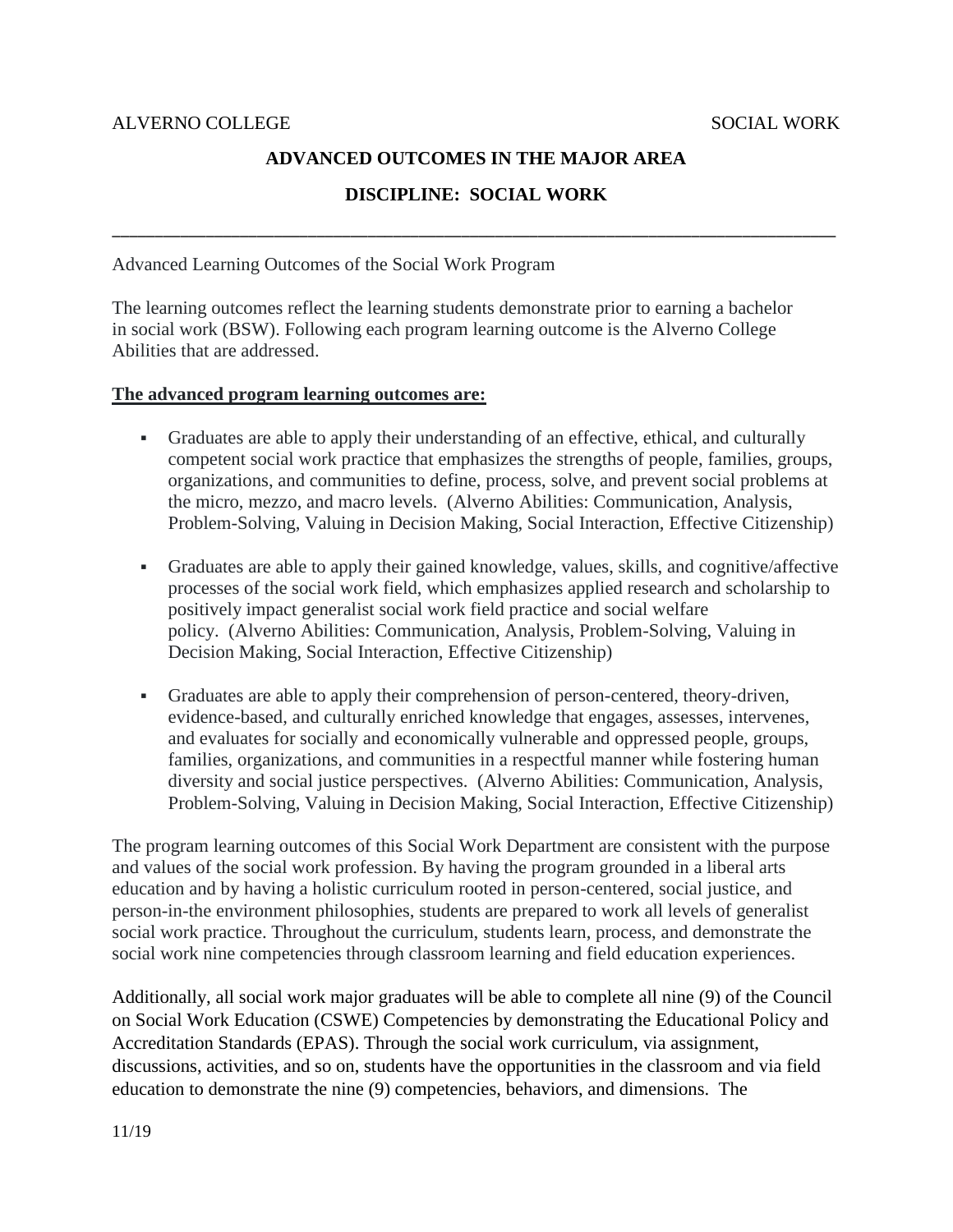# **ADVANCED OUTCOMES IN THE MAJOR AREA**

### **DISCIPLINE: SOCIAL WORK**

\_\_\_\_\_\_\_\_\_\_\_\_\_\_\_\_\_\_\_\_\_\_\_\_\_\_\_\_\_\_\_\_\_\_\_\_\_\_\_\_\_\_\_\_\_\_\_\_\_\_\_\_\_\_\_\_\_\_\_\_\_\_\_\_\_\_\_\_\_\_\_\_\_\_\_\_\_\_\_\_\_\_\_\_\_

Advanced Learning Outcomes of the Social Work Program

The learning outcomes reflect the learning students demonstrate prior to earning a bachelor in social work (BSW). Following each program learning outcome is the Alverno College Abilities that are addressed.

#### **The advanced program learning outcomes are:**

- Graduates are able to apply their understanding of an effective, ethical, and culturally competent social work practice that emphasizes the strengths of people, families, groups, organizations, and communities to define, process, solve, and prevent social problems at the micro, mezzo, and macro levels. (Alverno Abilities: Communication, Analysis, Problem-Solving, Valuing in Decision Making, Social Interaction, Effective Citizenship)
- Graduates are able to apply their gained knowledge, values, skills, and cognitive/affective processes of the social work field, which emphasizes applied research and scholarship to positively impact generalist social work field practice and social welfare policy. (Alverno Abilities: Communication, Analysis, Problem-Solving, Valuing in Decision Making, Social Interaction, Effective Citizenship)
- Graduates are able to apply their comprehension of person-centered, theory-driven, evidence-based, and culturally enriched knowledge that engages, assesses, intervenes, and evaluates for socially and economically vulnerable and oppressed people, groups, families, organizations, and communities in a respectful manner while fostering human diversity and social justice perspectives. (Alverno Abilities: Communication, Analysis, Problem-Solving, Valuing in Decision Making, Social Interaction, Effective Citizenship)

The program learning outcomes of this Social Work Department are consistent with the purpose and values of the social work profession. By having the program grounded in a liberal arts education and by having a holistic curriculum rooted in person-centered, social justice, and person-in-the environment philosophies, students are prepared to work all levels of generalist social work practice. Throughout the curriculum, students learn, process, and demonstrate the social work nine competencies through classroom learning and field education experiences.

Additionally, all social work major graduates will be able to complete all nine (9) of the Council on Social Work Education (CSWE) Competencies by demonstrating the Educational Policy and Accreditation Standards (EPAS). Through the social work curriculum, via assignment, discussions, activities, and so on, students have the opportunities in the classroom and via field education to demonstrate the nine (9) competencies, behaviors, and dimensions. The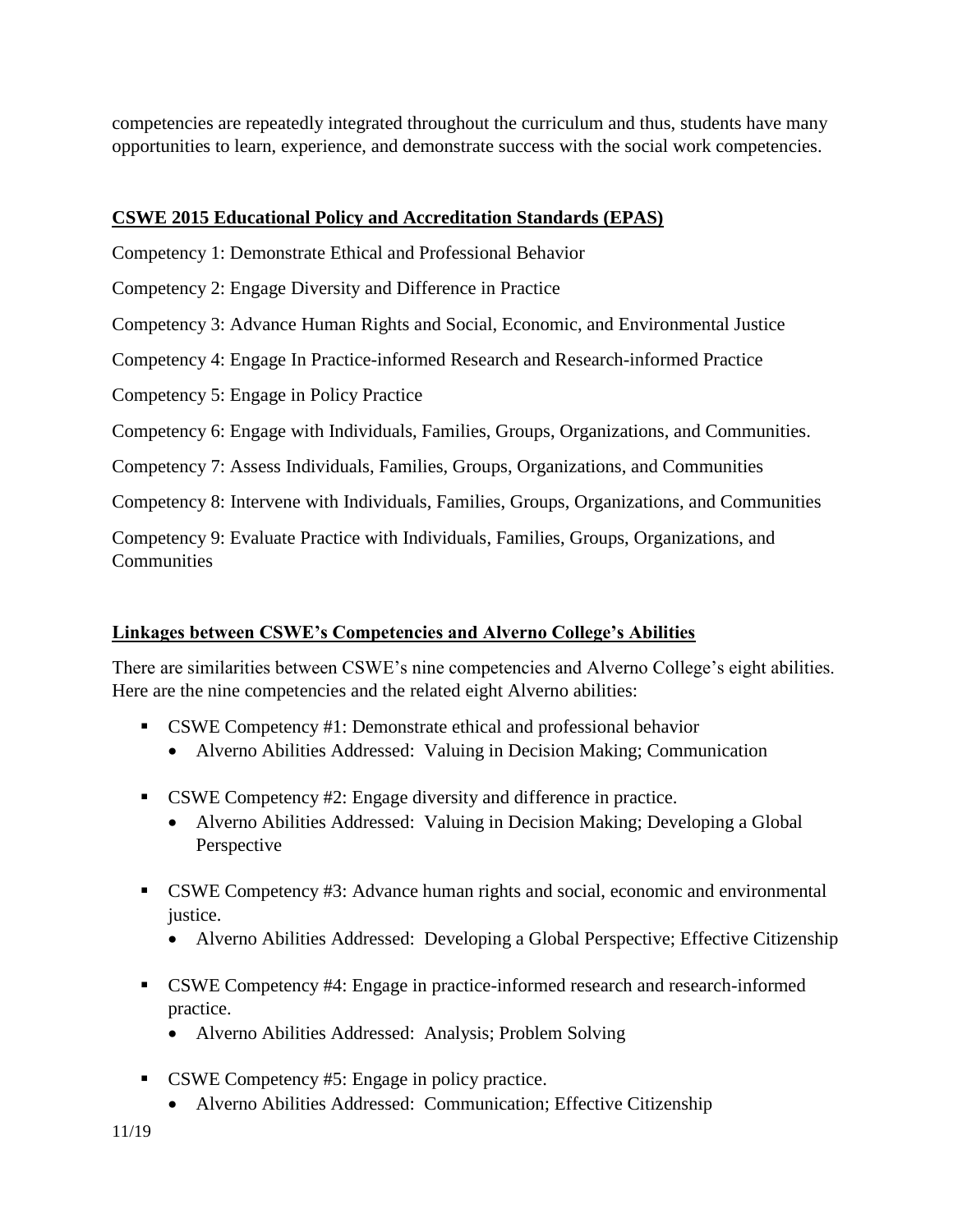competencies are repeatedly integrated throughout the curriculum and thus, students have many opportunities to learn, experience, and demonstrate success with the social work competencies.

# **CSWE 2015 Educational Policy and Accreditation Standards (EPAS)**

Competency 1: Demonstrate Ethical and Professional Behavior

Competency 2: Engage Diversity and Difference in Practice

Competency 3: Advance Human Rights and Social, Economic, and Environmental Justice

Competency 4: Engage In Practice-informed Research and Research-informed Practice

Competency 5: Engage in Policy Practice

Competency 6: Engage with Individuals, Families, Groups, Organizations, and Communities.

Competency 7: Assess Individuals, Families, Groups, Organizations, and Communities

Competency 8: Intervene with Individuals, Families, Groups, Organizations, and Communities

Competency 9: Evaluate Practice with Individuals, Families, Groups, Organizations, and **Communities** 

### **Linkages between CSWE's Competencies and Alverno College's Abilities**

There are similarities between CSWE's nine competencies and Alverno College's eight abilities. Here are the nine competencies and the related eight Alverno abilities:

- CSWE Competency #1: Demonstrate ethical and professional behavior
	- Alverno Abilities Addressed: Valuing in Decision Making; Communication
- CSWE Competency #2: Engage diversity and difference in practice.
	- Alverno Abilities Addressed: Valuing in Decision Making; Developing a Global Perspective
- CSWE Competency #3: Advance human rights and social, economic and environmental justice.
	- Alverno Abilities Addressed: Developing a Global Perspective; Effective Citizenship
- CSWE Competency #4: Engage in practice-informed research and research-informed practice.
	- Alverno Abilities Addressed: Analysis; Problem Solving
- CSWE Competency #5: Engage in policy practice.
	- Alverno Abilities Addressed: Communication; Effective Citizenship